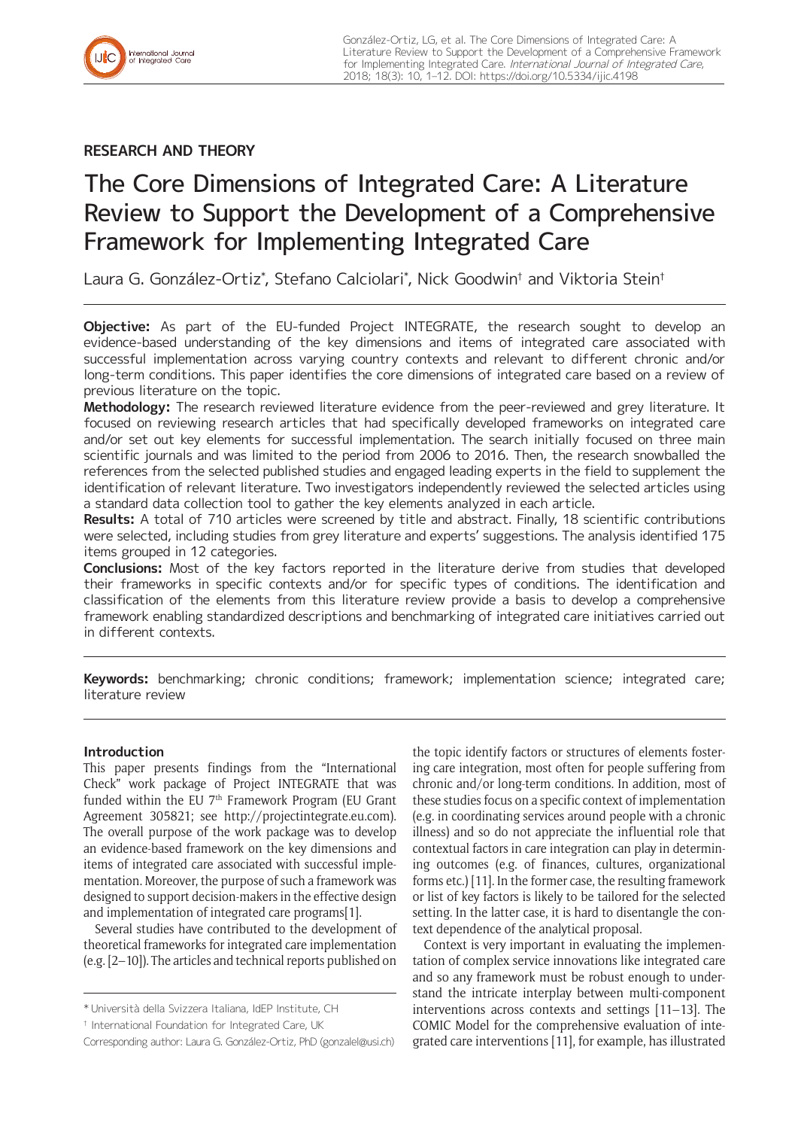## **RESEARCH AND THEORY**

# The Core Dimensions of Integrated Care: A Literature Review to Support the Development of a Comprehensive Framework for Implementing Integrated Care

Laura G. González-Ortiz\* , Stefano Calciolari\* , Nick Goodwin† and Viktoria Stein†

**Objective:** As part of the EU-funded Project INTEGRATE, the research sought to develop an evidence-based understanding of the key dimensions and items of integrated care associated with successful implementation across varying country contexts and relevant to different chronic and/or long-term conditions. This paper identifies the core dimensions of integrated care based on a review of previous literature on the topic.

**Methodology:** The research reviewed literature evidence from the peer-reviewed and grey literature. It focused on reviewing research articles that had specifically developed frameworks on integrated care and/or set out key elements for successful implementation. The search initially focused on three main scientific journals and was limited to the period from 2006 to 2016. Then, the research snowballed the references from the selected published studies and engaged leading experts in the field to supplement the identification of relevant literature. Two investigators independently reviewed the selected articles using a standard data collection tool to gather the key elements analyzed in each article.

**Results:** A total of 710 articles were screened by title and abstract. Finally, 18 scientific contributions were selected, including studies from grey literature and experts' suggestions. The analysis identified 175 items grouped in 12 categories.

**Conclusions:** Most of the key factors reported in the literature derive from studies that developed their frameworks in specific contexts and/or for specific types of conditions. The identification and classification of the elements from this literature review provide a basis to develop a comprehensive framework enabling standardized descriptions and benchmarking of integrated care initiatives carried out in different contexts.

**Keywords:** benchmarking; chronic conditions; framework; implementation science; integrated care; literature review

## **Introduction**

This paper presents findings from the "International Check" work package of Project INTEGRATE that was funded within the EU  $7<sup>th</sup>$  Framework Program (EU Grant Agreement 305821; see <http://projectintegrate.eu.com>). The overall purpose of the work package was to develop an evidence-based framework on the key dimensions and items of integrated care associated with successful implementation. Moreover, the purpose of such a framework was designed to support decision-makers in the effective design and implementation of integrated care programs[1].

Several studies have contributed to the development of theoretical frameworks for integrated care implementation (e.g. [2–10]). The articles and technical reports published on the topic identify factors or structures of elements fostering care integration, most often for people suffering from chronic and/or long-term conditions. In addition, most of these studies focus on a specific context of implementation (e.g. in coordinating services around people with a chronic illness) and so do not appreciate the influential role that contextual factors in care integration can play in determining outcomes (e.g. of finances, cultures, organizational forms etc.) [11]. In the former case, the resulting framework or list of key factors is likely to be tailored for the selected setting. In the latter case, it is hard to disentangle the context dependence of the analytical proposal.

Context is very important in evaluating the implementation of complex service innovations like integrated care and so any framework must be robust enough to understand the intricate interplay between multi-component interventions across contexts and settings [11–13]. The COMIC Model for the comprehensive evaluation of integrated care interventions [11], for example, has illustrated

<sup>\*</sup> Università della Svizzera Italiana, IdEP Institute, CH

<sup>†</sup> International Foundation for Integrated Care, UK

Corresponding author: Laura G. González-Ortiz, PhD [\(gonzalel@usi.ch\)](mailto:gonzalel@usi.ch)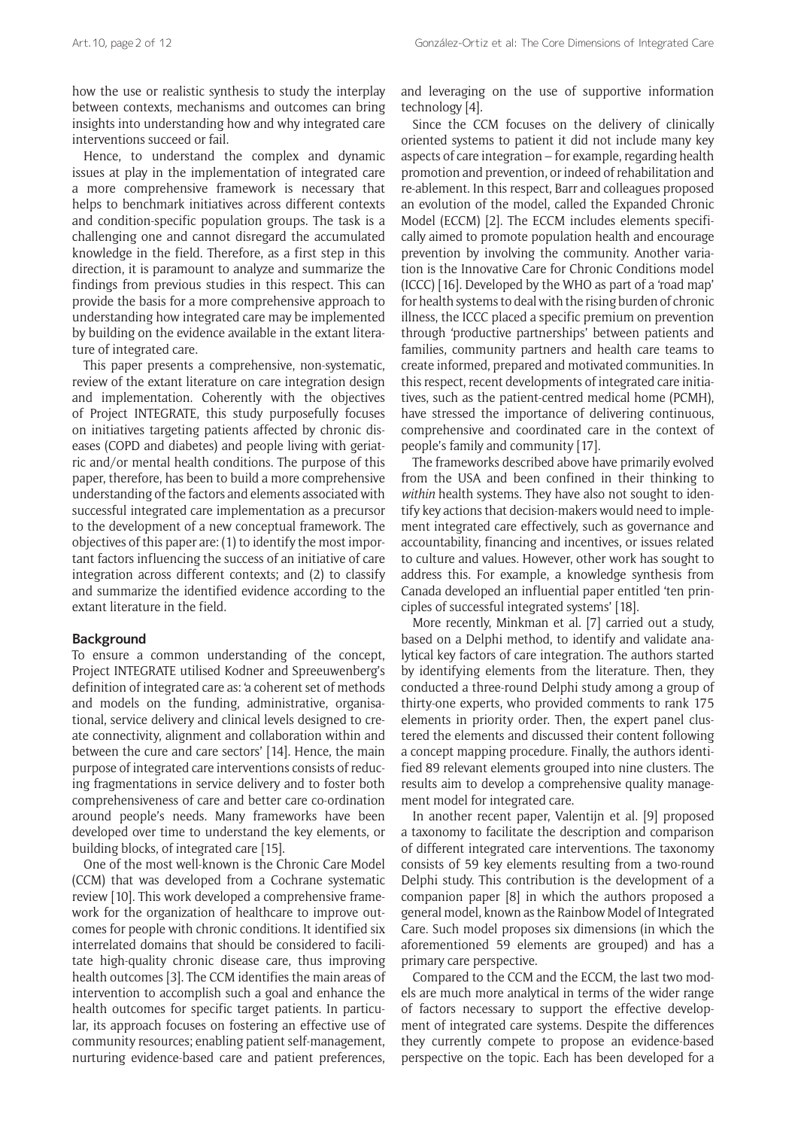how the use or realistic synthesis to study the interplay between contexts, mechanisms and outcomes can bring insights into understanding how and why integrated care interventions succeed or fail.

Hence, to understand the complex and dynamic issues at play in the implementation of integrated care a more comprehensive framework is necessary that helps to benchmark initiatives across different contexts and condition-specific population groups. The task is a challenging one and cannot disregard the accumulated knowledge in the field. Therefore, as a first step in this direction, it is paramount to analyze and summarize the findings from previous studies in this respect. This can provide the basis for a more comprehensive approach to understanding how integrated care may be implemented by building on the evidence available in the extant literature of integrated care.

This paper presents a comprehensive, non-systematic, review of the extant literature on care integration design and implementation. Coherently with the objectives of Project INTEGRATE, this study purposefully focuses on initiatives targeting patients affected by chronic diseases (COPD and diabetes) and people living with geriatric and/or mental health conditions. The purpose of this paper, therefore, has been to build a more comprehensive understanding of the factors and elements associated with successful integrated care implementation as a precursor to the development of a new conceptual framework. The objectives of this paper are: (1) to identify the most important factors influencing the success of an initiative of care integration across different contexts; and (2) to classify and summarize the identified evidence according to the extant literature in the field.

#### **Background**

To ensure a common understanding of the concept, Project INTEGRATE utilised Kodner and Spreeuwenberg's definition of integrated care as: 'a coherent set of methods and models on the funding, administrative, organisational, service delivery and clinical levels designed to create connectivity, alignment and collaboration within and between the cure and care sectors' [14]. Hence, the main purpose of integrated care interventions consists of reducing fragmentations in service delivery and to foster both comprehensiveness of care and better care co-ordination around people's needs. Many frameworks have been developed over time to understand the key elements, or building blocks, of integrated care [15].

One of the most well-known is the Chronic Care Model (CCM) that was developed from a Cochrane systematic review [10]. This work developed a comprehensive framework for the organization of healthcare to improve outcomes for people with chronic conditions. It identified six interrelated domains that should be considered to facilitate high-quality chronic disease care, thus improving health outcomes [3]. The CCM identifies the main areas of intervention to accomplish such a goal and enhance the health outcomes for specific target patients. In particular, its approach focuses on fostering an effective use of community resources; enabling patient self-management, nurturing evidence-based care and patient preferences,

and leveraging on the use of supportive information technology [4].

Since the CCM focuses on the delivery of clinically oriented systems to patient it did not include many key aspects of care integration – for example, regarding health promotion and prevention, or indeed of rehabilitation and re-ablement. In this respect, Barr and colleagues proposed an evolution of the model, called the Expanded Chronic Model (ECCM) [2]. The ECCM includes elements specifically aimed to promote population health and encourage prevention by involving the community. Another variation is the Innovative Care for Chronic Conditions model (ICCC) [16]. Developed by the WHO as part of a 'road map' for health systems to deal with the rising burden of chronic illness, the ICCC placed a specific premium on prevention through 'productive partnerships' between patients and families, community partners and health care teams to create informed, prepared and motivated communities. In this respect, recent developments of integrated care initiatives, such as the patient-centred medical home (PCMH), have stressed the importance of delivering continuous, comprehensive and coordinated care in the context of people's family and community [17].

The frameworks described above have primarily evolved from the USA and been confined in their thinking to *within* health systems. They have also not sought to identify key actions that decision-makers would need to implement integrated care effectively, such as governance and accountability, financing and incentives, or issues related to culture and values. However, other work has sought to address this. For example, a knowledge synthesis from Canada developed an influential paper entitled 'ten principles of successful integrated systems' [18].

More recently, Minkman et al. [7] carried out a study, based on a Delphi method, to identify and validate analytical key factors of care integration. The authors started by identifying elements from the literature. Then, they conducted a three-round Delphi study among a group of thirty-one experts, who provided comments to rank 175 elements in priority order. Then, the expert panel clustered the elements and discussed their content following a concept mapping procedure. Finally, the authors identified 89 relevant elements grouped into nine clusters. The results aim to develop a comprehensive quality management model for integrated care.

In another recent paper, Valentijn et al. [9] proposed a taxonomy to facilitate the description and comparison of different integrated care interventions. The taxonomy consists of 59 key elements resulting from a two-round Delphi study. This contribution is the development of a companion paper [8] in which the authors proposed a general model, known as the Rainbow Model of Integrated Care. Such model proposes six dimensions (in which the aforementioned 59 elements are grouped) and has a primary care perspective.

Compared to the CCM and the ECCM, the last two models are much more analytical in terms of the wider range of factors necessary to support the effective development of integrated care systems. Despite the differences they currently compete to propose an evidence-based perspective on the topic. Each has been developed for a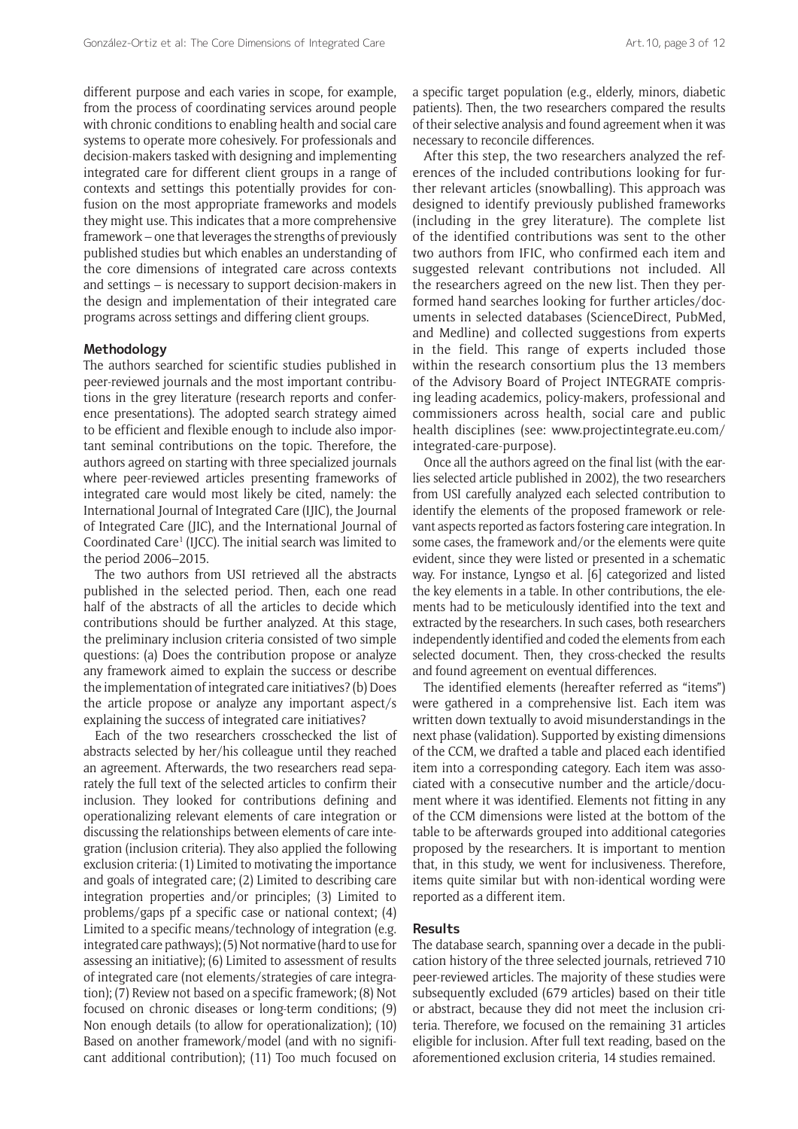different purpose and each varies in scope, for example, from the process of coordinating services around people with chronic conditions to enabling health and social care systems to operate more cohesively. For professionals and decision-makers tasked with designing and implementing integrated care for different client groups in a range of contexts and settings this potentially provides for confusion on the most appropriate frameworks and models they might use. This indicates that a more comprehensive framework – one that leverages the strengths of previously published studies but which enables an understanding of the core dimensions of integrated care across contexts and settings – is necessary to support decision-makers in the design and implementation of their integrated care programs across settings and differing client groups.

### **Methodology**

The authors searched for scientific studies published in peer-reviewed journals and the most important contributions in the grey literature (research reports and conference presentations). The adopted search strategy aimed to be efficient and flexible enough to include also important seminal contributions on the topic. Therefore, the authors agreed on starting with three specialized journals where peer-reviewed articles presenting frameworks of integrated care would most likely be cited, namely: the International Journal of Integrated Care (IJIC), the Journal of Integrated Care (JIC), and the International Journal of Coordinated Care<sup>1</sup> (IJCC). The initial search was limited to the period 2006–2015.

The two authors from USI retrieved all the abstracts published in the selected period. Then, each one read half of the abstracts of all the articles to decide which contributions should be further analyzed. At this stage, the preliminary inclusion criteria consisted of two simple questions: (a) Does the contribution propose or analyze any framework aimed to explain the success or describe the implementation of integrated care initiatives? (b) Does the article propose or analyze any important aspect/s explaining the success of integrated care initiatives?

Each of the two researchers crosschecked the list of abstracts selected by her/his colleague until they reached an agreement. Afterwards, the two researchers read separately the full text of the selected articles to confirm their inclusion. They looked for contributions defining and operationalizing relevant elements of care integration or discussing the relationships between elements of care integration (inclusion criteria). They also applied the following exclusion criteria: (1) Limited to motivating the importance and goals of integrated care; (2) Limited to describing care integration properties and/or principles; (3) Limited to problems/gaps pf a specific case or national context; (4) Limited to a specific means/technology of integration (e.g. integrated care pathways); (5) Not normative (hard to use for assessing an initiative); (6) Limited to assessment of results of integrated care (not elements/strategies of care integration); (7) Review not based on a specific framework; (8) Not focused on chronic diseases or long-term conditions; (9) Non enough details (to allow for operationalization); (10) Based on another framework/model (and with no significant additional contribution); (11) Too much focused on

a specific target population (e.g., elderly, minors, diabetic patients). Then, the two researchers compared the results of their selective analysis and found agreement when it was necessary to reconcile differences.

After this step, the two researchers analyzed the references of the included contributions looking for further relevant articles (snowballing). This approach was designed to identify previously published frameworks (including in the grey literature). The complete list of the identified contributions was sent to the other two authors from IFIC, who confirmed each item and suggested relevant contributions not included. All the researchers agreed on the new list. Then they performed hand searches looking for further articles/documents in selected databases (ScienceDirect, PubMed, and Medline) and collected suggestions from experts in the field. This range of experts included those within the research consortium plus the 13 members of the Advisory Board of Project INTEGRATE comprising leading academics, policy-makers, professional and commissioners across health, social care and public health disciplines (see: [www.projectintegrate.eu.com/](www.projectintegrate.eu.com/integrated-care-purpose) [integrated-care-purpose\)](www.projectintegrate.eu.com/integrated-care-purpose).

Once all the authors agreed on the final list (with the earlies selected article published in 2002), the two researchers from USI carefully analyzed each selected contribution to identify the elements of the proposed framework or relevant aspects reported as factors fostering care integration. In some cases, the framework and/or the elements were quite evident, since they were listed or presented in a schematic way. For instance, Lyngsø et al. [6] categorized and listed the key elements in a table. In other contributions, the elements had to be meticulously identified into the text and extracted by the researchers. In such cases, both researchers independently identified and coded the elements from each selected document. Then, they cross-checked the results and found agreement on eventual differences.

The identified elements (hereafter referred as "items") were gathered in a comprehensive list. Each item was written down textually to avoid misunderstandings in the next phase (validation). Supported by existing dimensions of the CCM, we drafted a table and placed each identified item into a corresponding category. Each item was associated with a consecutive number and the article/document where it was identified. Elements not fitting in any of the CCM dimensions were listed at the bottom of the table to be afterwards grouped into additional categories proposed by the researchers. It is important to mention that, in this study, we went for inclusiveness. Therefore, items quite similar but with non-identical wording were reported as a different item.

### **Results**

The database search, spanning over a decade in the publication history of the three selected journals, retrieved 710 peer-reviewed articles. The majority of these studies were subsequently excluded (679 articles) based on their title or abstract, because they did not meet the inclusion criteria. Therefore, we focused on the remaining 31 articles eligible for inclusion. After full text reading, based on the aforementioned exclusion criteria, 14 studies remained.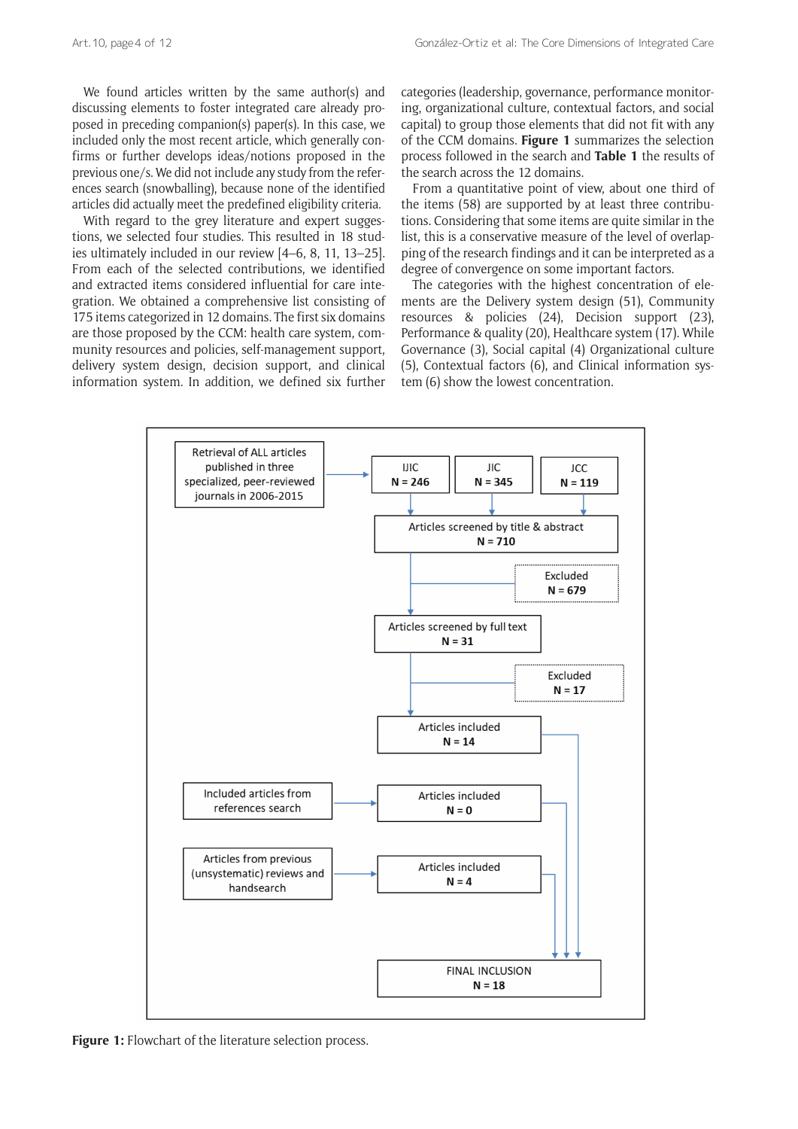We found articles written by the same author(s) and discussing elements to foster integrated care already proposed in preceding companion(s) paper(s). In this case, we included only the most recent article, which generally confirms or further develops ideas/notions proposed in the previous one/s. We did not include any study from the references search (snowballing), because none of the identified articles did actually meet the predefined eligibility criteria.

With regard to the grey literature and expert suggestions, we selected four studies. This resulted in 18 studies ultimately included in our review [4–6, 8, 11, 13–25]. From each of the selected contributions, we identified and extracted items considered influential for care integration. We obtained a comprehensive list consisting of 175 items categorized in 12 domains. The first six domains are those proposed by the CCM: health care system, community resources and policies, self-management support, delivery system design, decision support, and clinical information system. In addition, we defined six further categories (leadership, governance, performance monitoring, organizational culture, contextual factors, and social capital) to group those elements that did not fit with any of the CCM domains. **Figure 1** summarizes the selection process followed in the search and **Table 1** the results of the search across the 12 domains.

From a quantitative point of view, about one third of the items (58) are supported by at least three contributions. Considering that some items are quite similar in the list, this is a conservative measure of the level of overlapping of the research findings and it can be interpreted as a degree of convergence on some important factors.

The categories with the highest concentration of elements are the Delivery system design (51), Community resources & policies (24), Decision support (23), Performance & quality (20), Healthcare system (17). While Governance (3), Social capital (4) Organizational culture (5), Contextual factors (6), and Clinical information system (6) show the lowest concentration.



Figure 1: Flowchart of the literature selection process.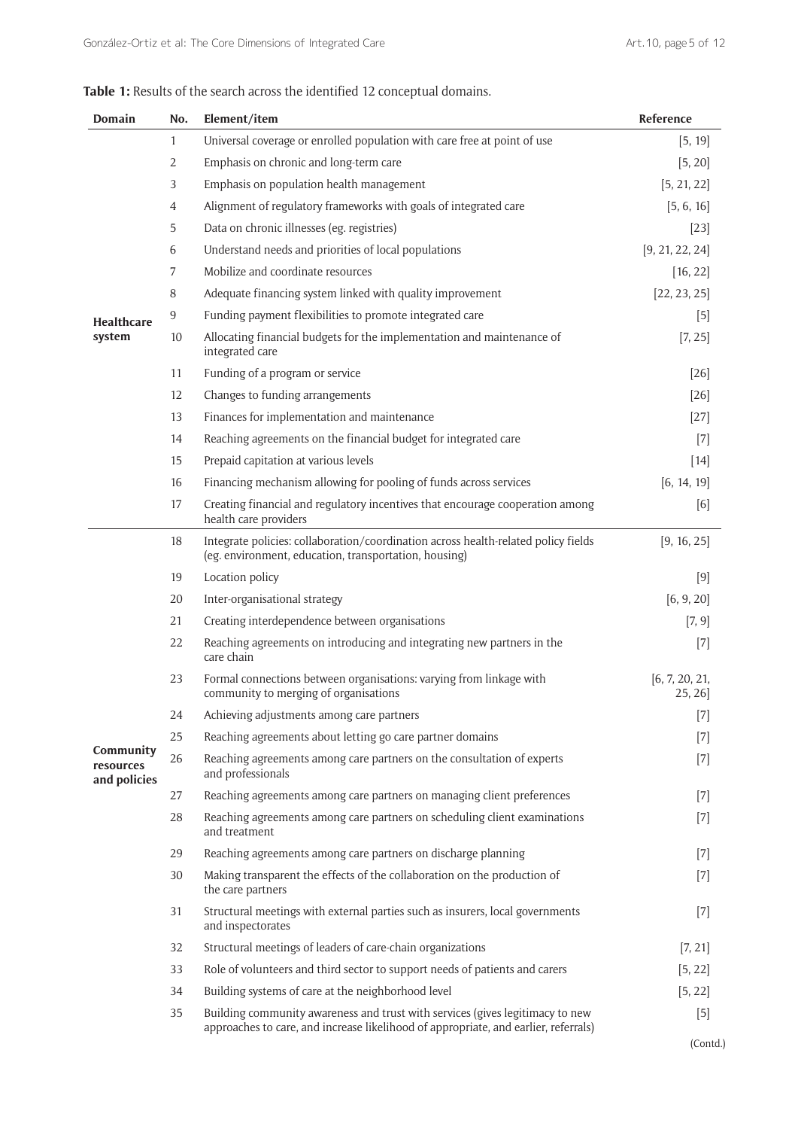| <b>Domain</b>                          | No.            | Element/item                                                                                                                                                         | Reference                |
|----------------------------------------|----------------|----------------------------------------------------------------------------------------------------------------------------------------------------------------------|--------------------------|
|                                        | $\mathbf{1}$   | Universal coverage or enrolled population with care free at point of use                                                                                             | [5, 19]                  |
|                                        | 2              | Emphasis on chronic and long-term care                                                                                                                               | [5, 20]                  |
|                                        | 3              | Emphasis on population health management                                                                                                                             | [5, 21, 22]              |
|                                        | $\overline{4}$ | Alignment of regulatory frameworks with goals of integrated care                                                                                                     | [5, 6, 16]               |
|                                        | 5              | Data on chronic illnesses (eg. registries)                                                                                                                           | $[23]$                   |
|                                        | 6              | Understand needs and priorities of local populations                                                                                                                 | [9, 21, 22, 24]          |
|                                        | $\overline{7}$ | Mobilize and coordinate resources                                                                                                                                    | [16, 22]                 |
|                                        | 8              | Adequate financing system linked with quality improvement                                                                                                            | [22, 23, 25]             |
| <b>Healthcare</b>                      | 9              | Funding payment flexibilities to promote integrated care                                                                                                             | $[5]$                    |
| system                                 | 10             | Allocating financial budgets for the implementation and maintenance of<br>integrated care                                                                            | [7, 25]                  |
|                                        | 11             | Funding of a program or service                                                                                                                                      | $[26]$                   |
|                                        | 12             | Changes to funding arrangements                                                                                                                                      | $[26]$                   |
|                                        | 13             | Finances for implementation and maintenance                                                                                                                          | $[27]$                   |
|                                        | 14             | Reaching agreements on the financial budget for integrated care                                                                                                      | $[7]$                    |
|                                        | 15             | Prepaid capitation at various levels                                                                                                                                 | $[14]$                   |
|                                        | 16             | Financing mechanism allowing for pooling of funds across services                                                                                                    | [6, 14, 19]              |
|                                        | 17             | Creating financial and regulatory incentives that encourage cooperation among<br>health care providers                                                               | [6]                      |
|                                        | 18             | Integrate policies: collaboration/coordination across health-related policy fields<br>(eg. environment, education, transportation, housing)                          | [9, 16, 25]              |
|                                        | 19             | Location policy                                                                                                                                                      | [9]                      |
|                                        | 20             | Inter-organisational strategy                                                                                                                                        | [6, 9, 20]               |
|                                        | 21             | Creating interdependence between organisations                                                                                                                       | [7, 9]                   |
|                                        | 22             | Reaching agreements on introducing and integrating new partners in the<br>care chain                                                                                 | $[7]$                    |
|                                        | 23             | Formal connections between organisations: varying from linkage with<br>community to merging of organisations                                                         | [6, 7, 20, 21,<br>25, 26 |
|                                        | 24             | Achieving adjustments among care partners                                                                                                                            | $[7]$                    |
|                                        | 25             | Reaching agreements about letting go care partner domains                                                                                                            | $[7]$                    |
| Community<br>resources<br>and policies | 26             | Reaching agreements among care partners on the consultation of experts<br>and professionals                                                                          | $[7]$                    |
|                                        | 27             | Reaching agreements among care partners on managing client preferences                                                                                               | $[7]$                    |
|                                        | 28             | Reaching agreements among care partners on scheduling client examinations<br>and treatment                                                                           | $[7]$                    |
|                                        | 29             | Reaching agreements among care partners on discharge planning                                                                                                        | $[7]$                    |
|                                        | 30             | Making transparent the effects of the collaboration on the production of<br>the care partners                                                                        | $[7]$                    |
|                                        | 31             | Structural meetings with external parties such as insurers, local governments<br>and inspectorates                                                                   | $[7]$                    |
|                                        | 32             | Structural meetings of leaders of care-chain organizations                                                                                                           | [7, 21]                  |
|                                        | 33             | Role of volunteers and third sector to support needs of patients and carers                                                                                          | [5, 22]                  |
|                                        | 34             | Building systems of care at the neighborhood level                                                                                                                   | [5, 22]                  |
|                                        | 35             | Building community awareness and trust with services (gives legitimacy to new<br>approaches to care, and increase likelihood of appropriate, and earlier, referrals) | $[5]$                    |

| Table 1: Results of the search across the identified 12 conceptual domains. |
|-----------------------------------------------------------------------------|
|-----------------------------------------------------------------------------|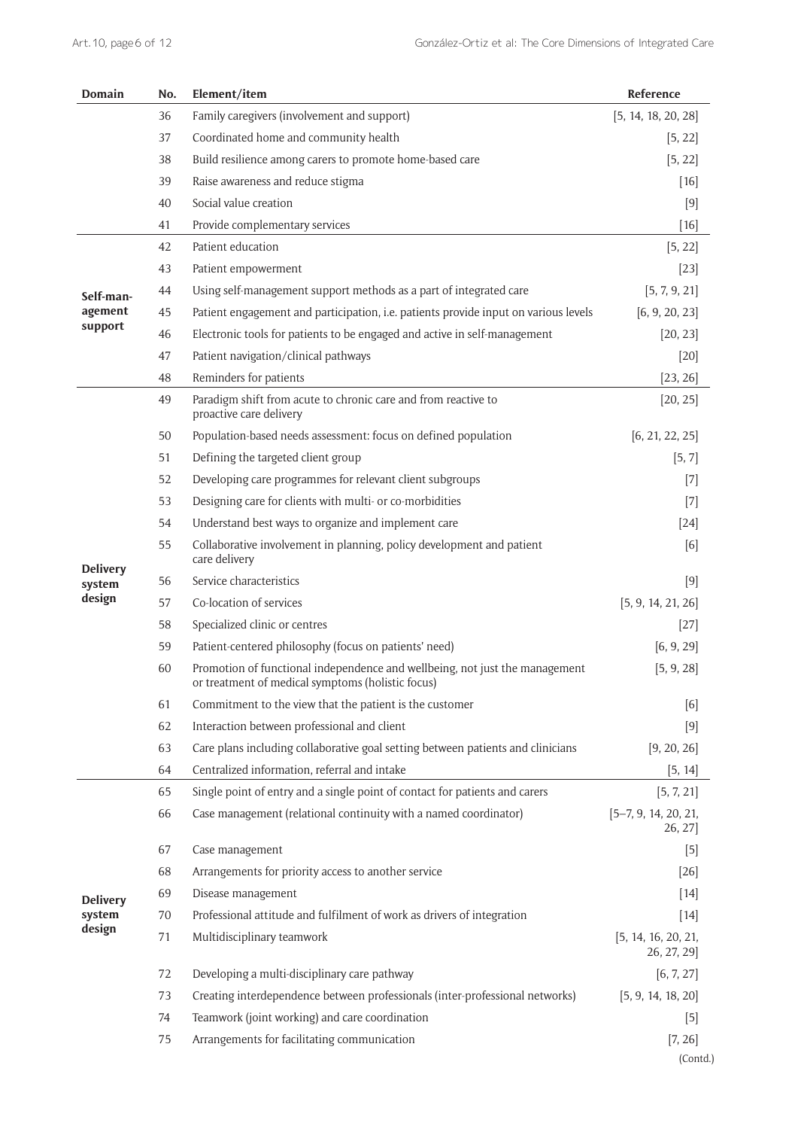| Family caregivers (involvement and support)<br>[5, 14, 18, 20, 28]<br>36<br>37<br>Coordinated home and community health<br>[5, 22]<br>Build resilience among carers to promote home-based care<br>38<br>[5, 22]<br>Raise awareness and reduce stigma<br>39<br>$[16]$<br>Social value creation<br>40<br>$[9]$<br>Provide complementary services<br>41<br>$[16]$<br>Patient education<br>42<br>[5, 22]<br>43<br>Patient empowerment<br>$[23]$<br>Using self-management support methods as a part of integrated care<br>44<br>[5, 7, 9, 21]<br>Self-man-<br>Patient engagement and participation, i.e. patients provide input on various levels<br>[6, 9, 20, 23]<br>agement<br>45<br>support<br>Electronic tools for patients to be engaged and active in self-management<br>46<br>[20, 23]<br>Patient navigation/clinical pathways<br>47<br>$[20]$<br>Reminders for patients<br>48<br>[23, 26]<br>Paradigm shift from acute to chronic care and from reactive to<br>49<br>[20, 25]<br>proactive care delivery<br>Population-based needs assessment: focus on defined population<br>50<br>[6, 21, 22, 25]<br>Defining the targeted client group<br>51<br>[5, 7]<br>Developing care programmes for relevant client subgroups<br>52<br>$[7]$<br>Designing care for clients with multi- or co-morbidities<br>53<br>$[7]$<br>Understand best ways to organize and implement care<br>54<br>$[24]$<br>Collaborative involvement in planning, policy development and patient<br>55<br>[6]<br>care delivery<br><b>Delivery</b><br>Service characteristics<br>56<br>$[9]$<br>system<br>design<br>Co-location of services<br>57<br>[5, 9, 14, 21, 26]<br>Specialized clinic or centres<br>58<br>$[27]$<br>Patient-centered philosophy (focus on patients' need)<br>59<br>[6, 9, 29]<br>Promotion of functional independence and wellbeing, not just the management<br>60<br>[5, 9, 28]<br>or treatment of medical symptoms (holistic focus)<br>61<br>Commitment to the view that the patient is the customer<br>[6]<br>62<br>Interaction between professional and client<br>$[9]$<br>Care plans including collaborative goal setting between patients and clinicians<br>63<br>[9, 20, 26]<br>Centralized information, referral and intake<br>64<br>[5, 14]<br>Single point of entry and a single point of contact for patients and carers<br>[5, 7, 21]<br>65<br>Case management (relational continuity with a named coordinator)<br>$[5-7, 9, 14, 20, 21,$<br>66<br>26, 27]<br>67<br>Case management<br>$[5]$<br>Arrangements for priority access to another service<br>68<br>$[26]$<br>69<br>Disease management<br>$[14]$<br><b>Delivery</b><br>Professional attitude and fulfilment of work as drivers of integration<br>system<br>70<br>$[14]$<br>design<br>71<br>Multidisciplinary teamwork<br>[5, 14, 16, 20, 21,<br>26, 27, 29]<br>72<br>Developing a multi-disciplinary care pathway<br>[6, 7, 27]<br>Creating interdependence between professionals (inter-professional networks)<br>[5, 9, 14, 18, 20]<br>73<br>Teamwork (joint working) and care coordination<br>74<br>$[5]$<br>75<br>Arrangements for facilitating communication<br>[7, 26] | <b>Domain</b> | No. | Element/item | Reference |
|---------------------------------------------------------------------------------------------------------------------------------------------------------------------------------------------------------------------------------------------------------------------------------------------------------------------------------------------------------------------------------------------------------------------------------------------------------------------------------------------------------------------------------------------------------------------------------------------------------------------------------------------------------------------------------------------------------------------------------------------------------------------------------------------------------------------------------------------------------------------------------------------------------------------------------------------------------------------------------------------------------------------------------------------------------------------------------------------------------------------------------------------------------------------------------------------------------------------------------------------------------------------------------------------------------------------------------------------------------------------------------------------------------------------------------------------------------------------------------------------------------------------------------------------------------------------------------------------------------------------------------------------------------------------------------------------------------------------------------------------------------------------------------------------------------------------------------------------------------------------------------------------------------------------------------------------------------------------------------------------------------------------------------------------------------------------------------------------------------------------------------------------------------------------------------------------------------------------------------------------------------------------------------------------------------------------------------------------------------------------------------------------------------------------------------------------------------------------------------------------------------------------------------------------------------------------------------------------------------------------------------------------------------------------------------------------------------------------------------------------------------------------------------------------------------------------------------------------------------------------------------------------------------------------------------------------------------------------------------------------------------------------------------------------------------------------------------------------------------------------------------------------|---------------|-----|--------------|-----------|
|                                                                                                                                                                                                                                                                                                                                                                                                                                                                                                                                                                                                                                                                                                                                                                                                                                                                                                                                                                                                                                                                                                                                                                                                                                                                                                                                                                                                                                                                                                                                                                                                                                                                                                                                                                                                                                                                                                                                                                                                                                                                                                                                                                                                                                                                                                                                                                                                                                                                                                                                                                                                                                                                                                                                                                                                                                                                                                                                                                                                                                                                                                                                             |               |     |              |           |
|                                                                                                                                                                                                                                                                                                                                                                                                                                                                                                                                                                                                                                                                                                                                                                                                                                                                                                                                                                                                                                                                                                                                                                                                                                                                                                                                                                                                                                                                                                                                                                                                                                                                                                                                                                                                                                                                                                                                                                                                                                                                                                                                                                                                                                                                                                                                                                                                                                                                                                                                                                                                                                                                                                                                                                                                                                                                                                                                                                                                                                                                                                                                             |               |     |              |           |
|                                                                                                                                                                                                                                                                                                                                                                                                                                                                                                                                                                                                                                                                                                                                                                                                                                                                                                                                                                                                                                                                                                                                                                                                                                                                                                                                                                                                                                                                                                                                                                                                                                                                                                                                                                                                                                                                                                                                                                                                                                                                                                                                                                                                                                                                                                                                                                                                                                                                                                                                                                                                                                                                                                                                                                                                                                                                                                                                                                                                                                                                                                                                             |               |     |              |           |
|                                                                                                                                                                                                                                                                                                                                                                                                                                                                                                                                                                                                                                                                                                                                                                                                                                                                                                                                                                                                                                                                                                                                                                                                                                                                                                                                                                                                                                                                                                                                                                                                                                                                                                                                                                                                                                                                                                                                                                                                                                                                                                                                                                                                                                                                                                                                                                                                                                                                                                                                                                                                                                                                                                                                                                                                                                                                                                                                                                                                                                                                                                                                             |               |     |              |           |
|                                                                                                                                                                                                                                                                                                                                                                                                                                                                                                                                                                                                                                                                                                                                                                                                                                                                                                                                                                                                                                                                                                                                                                                                                                                                                                                                                                                                                                                                                                                                                                                                                                                                                                                                                                                                                                                                                                                                                                                                                                                                                                                                                                                                                                                                                                                                                                                                                                                                                                                                                                                                                                                                                                                                                                                                                                                                                                                                                                                                                                                                                                                                             |               |     |              |           |
|                                                                                                                                                                                                                                                                                                                                                                                                                                                                                                                                                                                                                                                                                                                                                                                                                                                                                                                                                                                                                                                                                                                                                                                                                                                                                                                                                                                                                                                                                                                                                                                                                                                                                                                                                                                                                                                                                                                                                                                                                                                                                                                                                                                                                                                                                                                                                                                                                                                                                                                                                                                                                                                                                                                                                                                                                                                                                                                                                                                                                                                                                                                                             |               |     |              |           |
|                                                                                                                                                                                                                                                                                                                                                                                                                                                                                                                                                                                                                                                                                                                                                                                                                                                                                                                                                                                                                                                                                                                                                                                                                                                                                                                                                                                                                                                                                                                                                                                                                                                                                                                                                                                                                                                                                                                                                                                                                                                                                                                                                                                                                                                                                                                                                                                                                                                                                                                                                                                                                                                                                                                                                                                                                                                                                                                                                                                                                                                                                                                                             |               |     |              |           |
|                                                                                                                                                                                                                                                                                                                                                                                                                                                                                                                                                                                                                                                                                                                                                                                                                                                                                                                                                                                                                                                                                                                                                                                                                                                                                                                                                                                                                                                                                                                                                                                                                                                                                                                                                                                                                                                                                                                                                                                                                                                                                                                                                                                                                                                                                                                                                                                                                                                                                                                                                                                                                                                                                                                                                                                                                                                                                                                                                                                                                                                                                                                                             |               |     |              |           |
|                                                                                                                                                                                                                                                                                                                                                                                                                                                                                                                                                                                                                                                                                                                                                                                                                                                                                                                                                                                                                                                                                                                                                                                                                                                                                                                                                                                                                                                                                                                                                                                                                                                                                                                                                                                                                                                                                                                                                                                                                                                                                                                                                                                                                                                                                                                                                                                                                                                                                                                                                                                                                                                                                                                                                                                                                                                                                                                                                                                                                                                                                                                                             |               |     |              |           |
|                                                                                                                                                                                                                                                                                                                                                                                                                                                                                                                                                                                                                                                                                                                                                                                                                                                                                                                                                                                                                                                                                                                                                                                                                                                                                                                                                                                                                                                                                                                                                                                                                                                                                                                                                                                                                                                                                                                                                                                                                                                                                                                                                                                                                                                                                                                                                                                                                                                                                                                                                                                                                                                                                                                                                                                                                                                                                                                                                                                                                                                                                                                                             |               |     |              |           |
|                                                                                                                                                                                                                                                                                                                                                                                                                                                                                                                                                                                                                                                                                                                                                                                                                                                                                                                                                                                                                                                                                                                                                                                                                                                                                                                                                                                                                                                                                                                                                                                                                                                                                                                                                                                                                                                                                                                                                                                                                                                                                                                                                                                                                                                                                                                                                                                                                                                                                                                                                                                                                                                                                                                                                                                                                                                                                                                                                                                                                                                                                                                                             |               |     |              |           |
|                                                                                                                                                                                                                                                                                                                                                                                                                                                                                                                                                                                                                                                                                                                                                                                                                                                                                                                                                                                                                                                                                                                                                                                                                                                                                                                                                                                                                                                                                                                                                                                                                                                                                                                                                                                                                                                                                                                                                                                                                                                                                                                                                                                                                                                                                                                                                                                                                                                                                                                                                                                                                                                                                                                                                                                                                                                                                                                                                                                                                                                                                                                                             |               |     |              |           |
|                                                                                                                                                                                                                                                                                                                                                                                                                                                                                                                                                                                                                                                                                                                                                                                                                                                                                                                                                                                                                                                                                                                                                                                                                                                                                                                                                                                                                                                                                                                                                                                                                                                                                                                                                                                                                                                                                                                                                                                                                                                                                                                                                                                                                                                                                                                                                                                                                                                                                                                                                                                                                                                                                                                                                                                                                                                                                                                                                                                                                                                                                                                                             |               |     |              |           |
|                                                                                                                                                                                                                                                                                                                                                                                                                                                                                                                                                                                                                                                                                                                                                                                                                                                                                                                                                                                                                                                                                                                                                                                                                                                                                                                                                                                                                                                                                                                                                                                                                                                                                                                                                                                                                                                                                                                                                                                                                                                                                                                                                                                                                                                                                                                                                                                                                                                                                                                                                                                                                                                                                                                                                                                                                                                                                                                                                                                                                                                                                                                                             |               |     |              |           |
|                                                                                                                                                                                                                                                                                                                                                                                                                                                                                                                                                                                                                                                                                                                                                                                                                                                                                                                                                                                                                                                                                                                                                                                                                                                                                                                                                                                                                                                                                                                                                                                                                                                                                                                                                                                                                                                                                                                                                                                                                                                                                                                                                                                                                                                                                                                                                                                                                                                                                                                                                                                                                                                                                                                                                                                                                                                                                                                                                                                                                                                                                                                                             |               |     |              |           |
|                                                                                                                                                                                                                                                                                                                                                                                                                                                                                                                                                                                                                                                                                                                                                                                                                                                                                                                                                                                                                                                                                                                                                                                                                                                                                                                                                                                                                                                                                                                                                                                                                                                                                                                                                                                                                                                                                                                                                                                                                                                                                                                                                                                                                                                                                                                                                                                                                                                                                                                                                                                                                                                                                                                                                                                                                                                                                                                                                                                                                                                                                                                                             |               |     |              |           |
|                                                                                                                                                                                                                                                                                                                                                                                                                                                                                                                                                                                                                                                                                                                                                                                                                                                                                                                                                                                                                                                                                                                                                                                                                                                                                                                                                                                                                                                                                                                                                                                                                                                                                                                                                                                                                                                                                                                                                                                                                                                                                                                                                                                                                                                                                                                                                                                                                                                                                                                                                                                                                                                                                                                                                                                                                                                                                                                                                                                                                                                                                                                                             |               |     |              |           |
|                                                                                                                                                                                                                                                                                                                                                                                                                                                                                                                                                                                                                                                                                                                                                                                                                                                                                                                                                                                                                                                                                                                                                                                                                                                                                                                                                                                                                                                                                                                                                                                                                                                                                                                                                                                                                                                                                                                                                                                                                                                                                                                                                                                                                                                                                                                                                                                                                                                                                                                                                                                                                                                                                                                                                                                                                                                                                                                                                                                                                                                                                                                                             |               |     |              |           |
|                                                                                                                                                                                                                                                                                                                                                                                                                                                                                                                                                                                                                                                                                                                                                                                                                                                                                                                                                                                                                                                                                                                                                                                                                                                                                                                                                                                                                                                                                                                                                                                                                                                                                                                                                                                                                                                                                                                                                                                                                                                                                                                                                                                                                                                                                                                                                                                                                                                                                                                                                                                                                                                                                                                                                                                                                                                                                                                                                                                                                                                                                                                                             |               |     |              |           |
|                                                                                                                                                                                                                                                                                                                                                                                                                                                                                                                                                                                                                                                                                                                                                                                                                                                                                                                                                                                                                                                                                                                                                                                                                                                                                                                                                                                                                                                                                                                                                                                                                                                                                                                                                                                                                                                                                                                                                                                                                                                                                                                                                                                                                                                                                                                                                                                                                                                                                                                                                                                                                                                                                                                                                                                                                                                                                                                                                                                                                                                                                                                                             |               |     |              |           |
| (Contd.)                                                                                                                                                                                                                                                                                                                                                                                                                                                                                                                                                                                                                                                                                                                                                                                                                                                                                                                                                                                                                                                                                                                                                                                                                                                                                                                                                                                                                                                                                                                                                                                                                                                                                                                                                                                                                                                                                                                                                                                                                                                                                                                                                                                                                                                                                                                                                                                                                                                                                                                                                                                                                                                                                                                                                                                                                                                                                                                                                                                                                                                                                                                                    |               |     |              |           |
|                                                                                                                                                                                                                                                                                                                                                                                                                                                                                                                                                                                                                                                                                                                                                                                                                                                                                                                                                                                                                                                                                                                                                                                                                                                                                                                                                                                                                                                                                                                                                                                                                                                                                                                                                                                                                                                                                                                                                                                                                                                                                                                                                                                                                                                                                                                                                                                                                                                                                                                                                                                                                                                                                                                                                                                                                                                                                                                                                                                                                                                                                                                                             |               |     |              |           |
|                                                                                                                                                                                                                                                                                                                                                                                                                                                                                                                                                                                                                                                                                                                                                                                                                                                                                                                                                                                                                                                                                                                                                                                                                                                                                                                                                                                                                                                                                                                                                                                                                                                                                                                                                                                                                                                                                                                                                                                                                                                                                                                                                                                                                                                                                                                                                                                                                                                                                                                                                                                                                                                                                                                                                                                                                                                                                                                                                                                                                                                                                                                                             |               |     |              |           |
|                                                                                                                                                                                                                                                                                                                                                                                                                                                                                                                                                                                                                                                                                                                                                                                                                                                                                                                                                                                                                                                                                                                                                                                                                                                                                                                                                                                                                                                                                                                                                                                                                                                                                                                                                                                                                                                                                                                                                                                                                                                                                                                                                                                                                                                                                                                                                                                                                                                                                                                                                                                                                                                                                                                                                                                                                                                                                                                                                                                                                                                                                                                                             |               |     |              |           |
|                                                                                                                                                                                                                                                                                                                                                                                                                                                                                                                                                                                                                                                                                                                                                                                                                                                                                                                                                                                                                                                                                                                                                                                                                                                                                                                                                                                                                                                                                                                                                                                                                                                                                                                                                                                                                                                                                                                                                                                                                                                                                                                                                                                                                                                                                                                                                                                                                                                                                                                                                                                                                                                                                                                                                                                                                                                                                                                                                                                                                                                                                                                                             |               |     |              |           |
|                                                                                                                                                                                                                                                                                                                                                                                                                                                                                                                                                                                                                                                                                                                                                                                                                                                                                                                                                                                                                                                                                                                                                                                                                                                                                                                                                                                                                                                                                                                                                                                                                                                                                                                                                                                                                                                                                                                                                                                                                                                                                                                                                                                                                                                                                                                                                                                                                                                                                                                                                                                                                                                                                                                                                                                                                                                                                                                                                                                                                                                                                                                                             |               |     |              |           |
|                                                                                                                                                                                                                                                                                                                                                                                                                                                                                                                                                                                                                                                                                                                                                                                                                                                                                                                                                                                                                                                                                                                                                                                                                                                                                                                                                                                                                                                                                                                                                                                                                                                                                                                                                                                                                                                                                                                                                                                                                                                                                                                                                                                                                                                                                                                                                                                                                                                                                                                                                                                                                                                                                                                                                                                                                                                                                                                                                                                                                                                                                                                                             |               |     |              |           |
|                                                                                                                                                                                                                                                                                                                                                                                                                                                                                                                                                                                                                                                                                                                                                                                                                                                                                                                                                                                                                                                                                                                                                                                                                                                                                                                                                                                                                                                                                                                                                                                                                                                                                                                                                                                                                                                                                                                                                                                                                                                                                                                                                                                                                                                                                                                                                                                                                                                                                                                                                                                                                                                                                                                                                                                                                                                                                                                                                                                                                                                                                                                                             |               |     |              |           |
|                                                                                                                                                                                                                                                                                                                                                                                                                                                                                                                                                                                                                                                                                                                                                                                                                                                                                                                                                                                                                                                                                                                                                                                                                                                                                                                                                                                                                                                                                                                                                                                                                                                                                                                                                                                                                                                                                                                                                                                                                                                                                                                                                                                                                                                                                                                                                                                                                                                                                                                                                                                                                                                                                                                                                                                                                                                                                                                                                                                                                                                                                                                                             |               |     |              |           |
|                                                                                                                                                                                                                                                                                                                                                                                                                                                                                                                                                                                                                                                                                                                                                                                                                                                                                                                                                                                                                                                                                                                                                                                                                                                                                                                                                                                                                                                                                                                                                                                                                                                                                                                                                                                                                                                                                                                                                                                                                                                                                                                                                                                                                                                                                                                                                                                                                                                                                                                                                                                                                                                                                                                                                                                                                                                                                                                                                                                                                                                                                                                                             |               |     |              |           |
|                                                                                                                                                                                                                                                                                                                                                                                                                                                                                                                                                                                                                                                                                                                                                                                                                                                                                                                                                                                                                                                                                                                                                                                                                                                                                                                                                                                                                                                                                                                                                                                                                                                                                                                                                                                                                                                                                                                                                                                                                                                                                                                                                                                                                                                                                                                                                                                                                                                                                                                                                                                                                                                                                                                                                                                                                                                                                                                                                                                                                                                                                                                                             |               |     |              |           |
|                                                                                                                                                                                                                                                                                                                                                                                                                                                                                                                                                                                                                                                                                                                                                                                                                                                                                                                                                                                                                                                                                                                                                                                                                                                                                                                                                                                                                                                                                                                                                                                                                                                                                                                                                                                                                                                                                                                                                                                                                                                                                                                                                                                                                                                                                                                                                                                                                                                                                                                                                                                                                                                                                                                                                                                                                                                                                                                                                                                                                                                                                                                                             |               |     |              |           |
|                                                                                                                                                                                                                                                                                                                                                                                                                                                                                                                                                                                                                                                                                                                                                                                                                                                                                                                                                                                                                                                                                                                                                                                                                                                                                                                                                                                                                                                                                                                                                                                                                                                                                                                                                                                                                                                                                                                                                                                                                                                                                                                                                                                                                                                                                                                                                                                                                                                                                                                                                                                                                                                                                                                                                                                                                                                                                                                                                                                                                                                                                                                                             |               |     |              |           |
|                                                                                                                                                                                                                                                                                                                                                                                                                                                                                                                                                                                                                                                                                                                                                                                                                                                                                                                                                                                                                                                                                                                                                                                                                                                                                                                                                                                                                                                                                                                                                                                                                                                                                                                                                                                                                                                                                                                                                                                                                                                                                                                                                                                                                                                                                                                                                                                                                                                                                                                                                                                                                                                                                                                                                                                                                                                                                                                                                                                                                                                                                                                                             |               |     |              |           |
|                                                                                                                                                                                                                                                                                                                                                                                                                                                                                                                                                                                                                                                                                                                                                                                                                                                                                                                                                                                                                                                                                                                                                                                                                                                                                                                                                                                                                                                                                                                                                                                                                                                                                                                                                                                                                                                                                                                                                                                                                                                                                                                                                                                                                                                                                                                                                                                                                                                                                                                                                                                                                                                                                                                                                                                                                                                                                                                                                                                                                                                                                                                                             |               |     |              |           |
|                                                                                                                                                                                                                                                                                                                                                                                                                                                                                                                                                                                                                                                                                                                                                                                                                                                                                                                                                                                                                                                                                                                                                                                                                                                                                                                                                                                                                                                                                                                                                                                                                                                                                                                                                                                                                                                                                                                                                                                                                                                                                                                                                                                                                                                                                                                                                                                                                                                                                                                                                                                                                                                                                                                                                                                                                                                                                                                                                                                                                                                                                                                                             |               |     |              |           |
|                                                                                                                                                                                                                                                                                                                                                                                                                                                                                                                                                                                                                                                                                                                                                                                                                                                                                                                                                                                                                                                                                                                                                                                                                                                                                                                                                                                                                                                                                                                                                                                                                                                                                                                                                                                                                                                                                                                                                                                                                                                                                                                                                                                                                                                                                                                                                                                                                                                                                                                                                                                                                                                                                                                                                                                                                                                                                                                                                                                                                                                                                                                                             |               |     |              |           |
|                                                                                                                                                                                                                                                                                                                                                                                                                                                                                                                                                                                                                                                                                                                                                                                                                                                                                                                                                                                                                                                                                                                                                                                                                                                                                                                                                                                                                                                                                                                                                                                                                                                                                                                                                                                                                                                                                                                                                                                                                                                                                                                                                                                                                                                                                                                                                                                                                                                                                                                                                                                                                                                                                                                                                                                                                                                                                                                                                                                                                                                                                                                                             |               |     |              |           |
|                                                                                                                                                                                                                                                                                                                                                                                                                                                                                                                                                                                                                                                                                                                                                                                                                                                                                                                                                                                                                                                                                                                                                                                                                                                                                                                                                                                                                                                                                                                                                                                                                                                                                                                                                                                                                                                                                                                                                                                                                                                                                                                                                                                                                                                                                                                                                                                                                                                                                                                                                                                                                                                                                                                                                                                                                                                                                                                                                                                                                                                                                                                                             |               |     |              |           |
|                                                                                                                                                                                                                                                                                                                                                                                                                                                                                                                                                                                                                                                                                                                                                                                                                                                                                                                                                                                                                                                                                                                                                                                                                                                                                                                                                                                                                                                                                                                                                                                                                                                                                                                                                                                                                                                                                                                                                                                                                                                                                                                                                                                                                                                                                                                                                                                                                                                                                                                                                                                                                                                                                                                                                                                                                                                                                                                                                                                                                                                                                                                                             |               |     |              |           |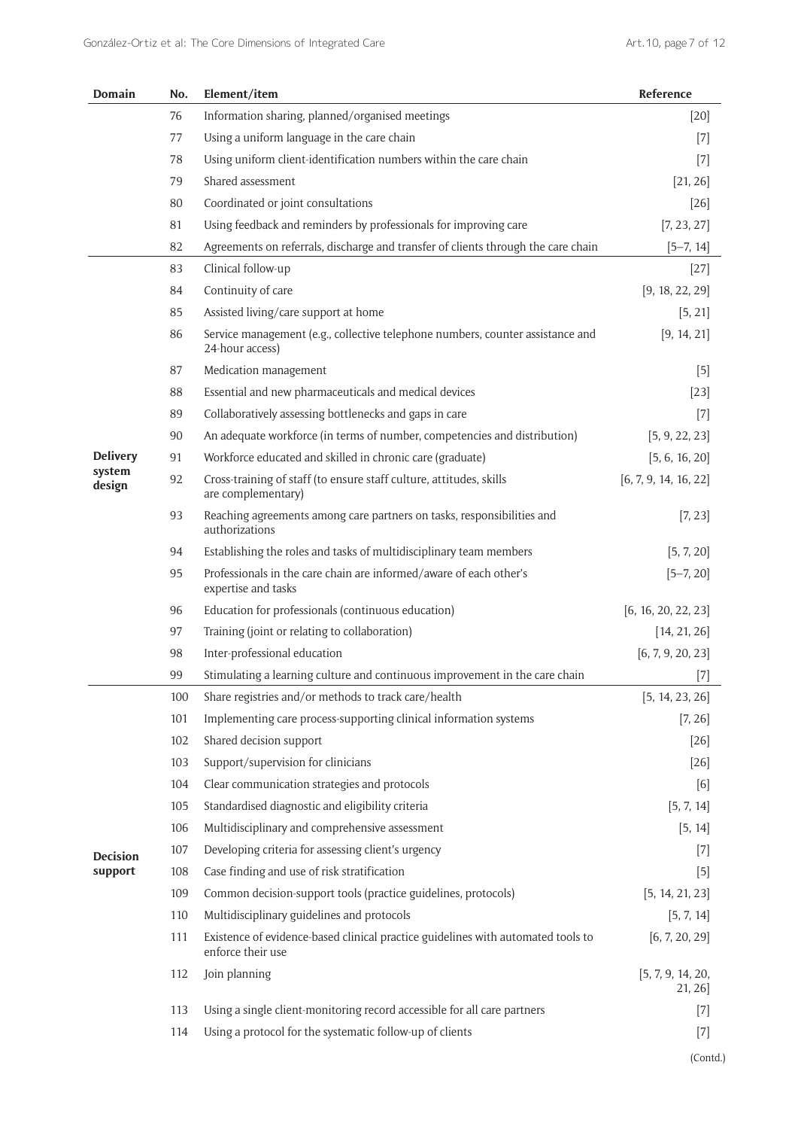| <b>Domain</b>    | No. | Element/item                                                                                          | Reference                   |
|------------------|-----|-------------------------------------------------------------------------------------------------------|-----------------------------|
|                  | 76  | Information sharing, planned/organised meetings                                                       | $[20]$                      |
|                  | 77  | Using a uniform language in the care chain                                                            | $[7]$                       |
|                  | 78  | Using uniform client-identification numbers within the care chain                                     | $[7]$                       |
|                  | 79  | Shared assessment                                                                                     | [21, 26]                    |
|                  | 80  | Coordinated or joint consultations                                                                    | $[26]$                      |
|                  | 81  | Using feedback and reminders by professionals for improving care                                      | [7, 23, 27]                 |
|                  | 82  | Agreements on referrals, discharge and transfer of clients through the care chain                     | $[5-7, 14]$                 |
|                  | 83  | Clinical follow-up                                                                                    | $[27]$                      |
|                  | 84  | Continuity of care                                                                                    | [9, 18, 22, 29]             |
|                  | 85  | Assisted living/care support at home                                                                  | [5, 21]                     |
|                  | 86  | Service management (e.g., collective telephone numbers, counter assistance and<br>24-hour access)     | [9, 14, 21]                 |
|                  | 87  | Medication management                                                                                 | $[5]$                       |
|                  | 88  | Essential and new pharmaceuticals and medical devices                                                 | $[23]$                      |
|                  | 89  | Collaboratively assessing bottlenecks and gaps in care                                                | $[7]$                       |
|                  | 90  | An adequate workforce (in terms of number, competencies and distribution)                             | [5, 9, 22, 23]              |
| <b>Delivery</b>  | 91  | Workforce educated and skilled in chronic care (graduate)                                             | [5, 6, 16, 20]              |
| system<br>design | 92  | Cross-training of staff (to ensure staff culture, attitudes, skills<br>are complementary)             | [6, 7, 9, 14, 16, 22]       |
|                  | 93  | Reaching agreements among care partners on tasks, responsibilities and<br>authorizations              | [7, 23]                     |
|                  | 94  | Establishing the roles and tasks of multidisciplinary team members                                    | [5, 7, 20]                  |
|                  | 95  | Professionals in the care chain are informed/aware of each other's<br>expertise and tasks             | $[5 - 7, 20]$               |
|                  | 96  | Education for professionals (continuous education)                                                    | [6, 16, 20, 22, 23]         |
|                  | 97  | Training (joint or relating to collaboration)                                                         | [14, 21, 26]                |
|                  | 98  | Inter-professional education                                                                          | [6, 7, 9, 20, 23]           |
|                  | 99  | Stimulating a learning culture and continuous improvement in the care chain                           | $[7]$                       |
|                  | 100 | Share registries and/or methods to track care/health                                                  | [5, 14, 23, 26]             |
|                  | 101 | Implementing care process-supporting clinical information systems                                     | [7, 26]                     |
|                  | 102 | Shared decision support                                                                               | $[26]$                      |
|                  | 103 | Support/supervision for clinicians                                                                    | $[26]$                      |
|                  | 104 | Clear communication strategies and protocols                                                          | [6]                         |
|                  | 105 | Standardised diagnostic and eligibility criteria                                                      | [5, 7, 14]                  |
|                  | 106 | Multidisciplinary and comprehensive assessment                                                        | [5, 14]                     |
| <b>Decision</b>  | 107 | Developing criteria for assessing client's urgency                                                    | $[7]$                       |
| support          | 108 | Case finding and use of risk stratification                                                           | $[5]$                       |
|                  | 109 | Common decision-support tools (practice guidelines, protocols)                                        | [5, 14, 21, 23]             |
|                  | 110 | Multidisciplinary guidelines and protocols                                                            | [5, 7, 14]                  |
|                  | 111 | Existence of evidence-based clinical practice guidelines with automated tools to<br>enforce their use | [6, 7, 20, 29]              |
|                  | 112 | Join planning                                                                                         | [5, 7, 9, 14, 20,<br>21, 26 |
|                  | 113 | Using a single client-monitoring record accessible for all care partners                              | $[7]$                       |
|                  | 114 | Using a protocol for the systematic follow-up of clients                                              | $[7]$                       |
|                  |     |                                                                                                       | (Contd.)                    |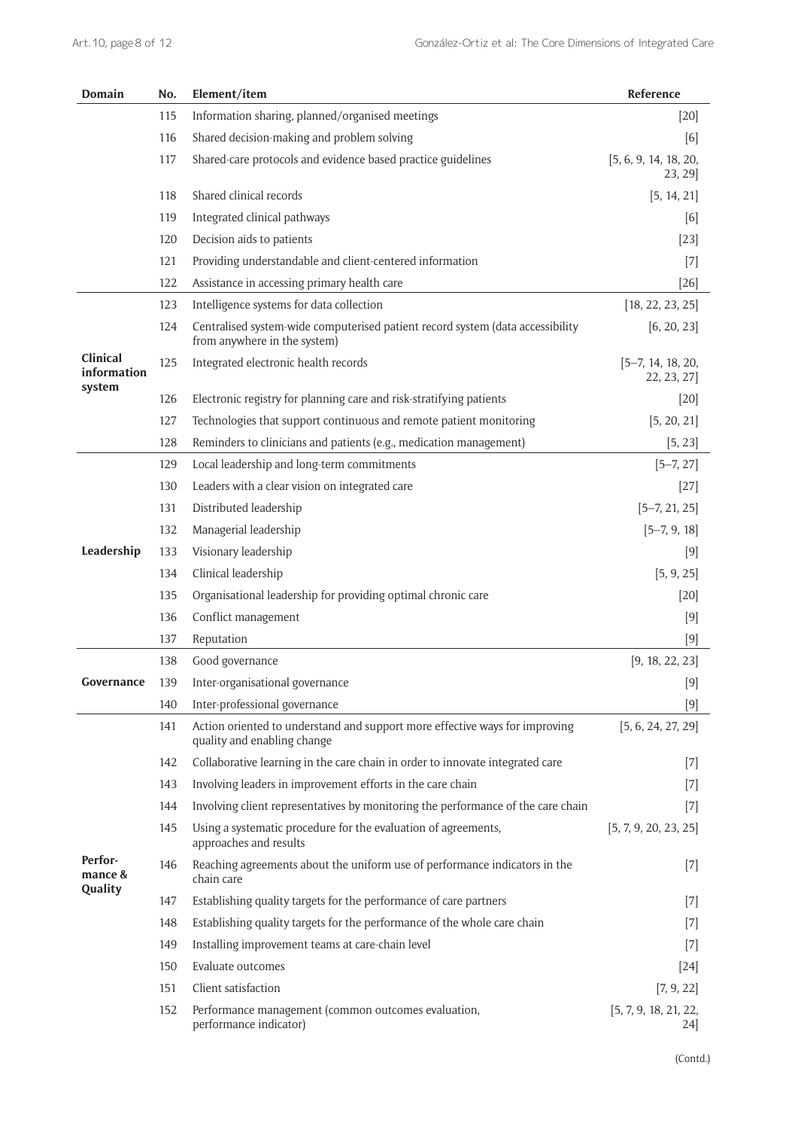| Domain                            | No. | Element/item                                                                                                   | Reference                          |
|-----------------------------------|-----|----------------------------------------------------------------------------------------------------------------|------------------------------------|
|                                   | 115 | Information sharing, planned/organised meetings                                                                | $[20]$                             |
|                                   | 116 | Shared decision-making and problem solving                                                                     | [6]                                |
|                                   | 117 | Shared-care protocols and evidence based practice guidelines                                                   | [5, 6, 9, 14, 18, 20,<br>23, 29]   |
|                                   | 118 | Shared clinical records                                                                                        | [5, 14, 21]                        |
|                                   | 119 | Integrated clinical pathways                                                                                   | [6]                                |
|                                   | 120 | Decision aids to patients                                                                                      | $[23]$                             |
|                                   | 121 | Providing understandable and client-centered information                                                       | $[7]$                              |
|                                   | 122 | Assistance in accessing primary health care                                                                    | $[26]$                             |
|                                   | 123 | Intelligence systems for data collection                                                                       | [18, 22, 23, 25]                   |
|                                   | 124 | Centralised system-wide computerised patient record system (data accessibility<br>from anywhere in the system) | [6, 20, 23]                        |
| Clinical<br>information<br>system | 125 | Integrated electronic health records                                                                           | $[5-7, 14, 18, 20,$<br>22, 23, 27] |
|                                   | 126 | Electronic registry for planning care and risk-stratifying patients                                            | $[20]$                             |
|                                   | 127 | Technologies that support continuous and remote patient monitoring                                             | [5, 20, 21]                        |
|                                   | 128 | Reminders to clinicians and patients (e.g., medication management)                                             | [5, 23]                            |
|                                   | 129 | Local leadership and long-term commitments                                                                     | $[5-7, 27]$                        |
|                                   | 130 | Leaders with a clear vision on integrated care                                                                 | $[27]$                             |
|                                   | 131 | Distributed leadership                                                                                         | $[5-7, 21, 25]$                    |
|                                   | 132 | Managerial leadership                                                                                          | $[5-7, 9, 18]$                     |
| Leadership                        | 133 | Visionary leadership                                                                                           | $[9]$                              |
|                                   | 134 | Clinical leadership                                                                                            | [5, 9, 25]                         |
|                                   | 135 | Organisational leadership for providing optimal chronic care                                                   | $[20]$                             |
|                                   | 136 | Conflict management                                                                                            | $[9]$                              |
|                                   | 137 | Reputation                                                                                                     | $[9]$                              |
|                                   | 138 | Good governance                                                                                                | [9, 18, 22, 23]                    |
| Governance                        | 139 | Inter-organisational governance                                                                                | [9]                                |
|                                   | 140 | Inter-professional governance                                                                                  | $[9]$                              |
|                                   | 141 | Action oriented to understand and support more effective ways for improving<br>quality and enabling change     | [5, 6, 24, 27, 29]                 |
|                                   | 142 | Collaborative learning in the care chain in order to innovate integrated care                                  | $[7]$                              |
|                                   | 143 | Involving leaders in improvement efforts in the care chain                                                     | $[7]$                              |
|                                   | 144 | Involving client representatives by monitoring the performance of the care chain                               | $[7]$                              |
| Perfor-<br>mance &<br>Quality     | 145 | Using a systematic procedure for the evaluation of agreements,<br>approaches and results                       | [5, 7, 9, 20, 23, 25]              |
|                                   | 146 | Reaching agreements about the uniform use of performance indicators in the<br>chain care                       | $[7]$                              |
|                                   | 147 | Establishing quality targets for the performance of care partners                                              | $[7]$                              |
|                                   | 148 | Establishing quality targets for the performance of the whole care chain                                       | $[7]$                              |
|                                   | 149 | Installing improvement teams at care-chain level                                                               | $[7]$                              |
|                                   | 150 | Evaluate outcomes                                                                                              | $[24]$                             |
|                                   | 151 | Client satisfaction                                                                                            | [7, 9, 22]                         |
|                                   | 152 | Performance management (common outcomes evaluation,<br>performance indicator)                                  | [5, 7, 9, 18, 21, 22,<br>24]       |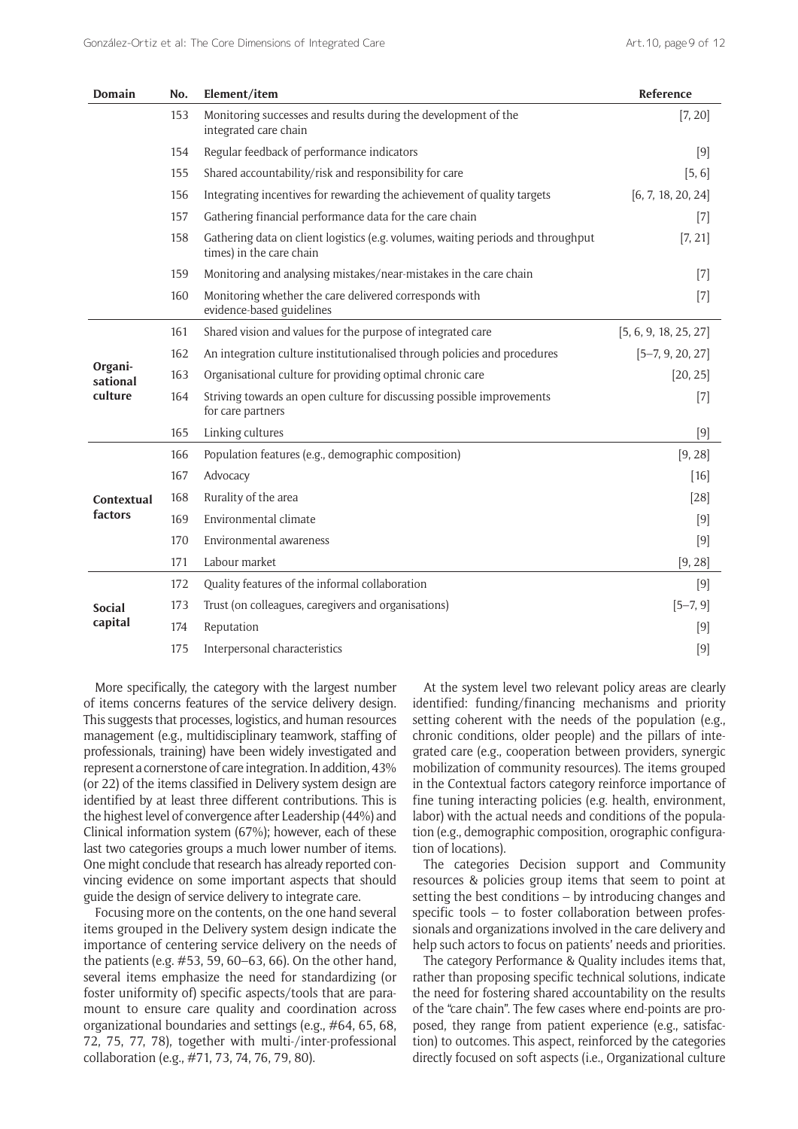| Domain                         | No. | Element/item                                                                                                 | Reference             |
|--------------------------------|-----|--------------------------------------------------------------------------------------------------------------|-----------------------|
|                                | 153 | Monitoring successes and results during the development of the<br>integrated care chain                      | [7, 20]               |
|                                | 154 | Regular feedback of performance indicators                                                                   | [9]                   |
|                                | 155 | Shared accountability/risk and responsibility for care                                                       | [5, 6]                |
|                                | 156 | Integrating incentives for rewarding the achievement of quality targets                                      | [6, 7, 18, 20, 24]    |
|                                | 157 | Gathering financial performance data for the care chain                                                      | $[7]$                 |
|                                | 158 | Gathering data on client logistics (e.g. volumes, waiting periods and throughput<br>times) in the care chain | [7, 21]               |
|                                | 159 | Monitoring and analysing mistakes/near-mistakes in the care chain                                            | $[7]$                 |
|                                | 160 | Monitoring whether the care delivered corresponds with<br>evidence-based guidelines                          | $[7]$                 |
| Organi-<br>sational<br>culture | 161 | Shared vision and values for the purpose of integrated care                                                  | [5, 6, 9, 18, 25, 27] |
|                                | 162 | An integration culture institutionalised through policies and procedures                                     | $[5-7, 9, 20, 27]$    |
|                                | 163 | Organisational culture for providing optimal chronic care                                                    | [20, 25]              |
|                                | 164 | Striving towards an open culture for discussing possible improvements<br>for care partners                   | $[7]$                 |
|                                | 165 | Linking cultures                                                                                             | $[9]$                 |
|                                | 166 | Population features (e.g., demographic composition)                                                          | [9, 28]               |
| Contextual<br>factors          | 167 | Advocacy                                                                                                     | $[16]$                |
|                                | 168 | Rurality of the area                                                                                         | [28]                  |
|                                | 169 | Environmental climate                                                                                        | [9]                   |
|                                | 170 | Environmental awareness                                                                                      | $[9]$                 |
|                                | 171 | Labour market                                                                                                | [9, 28]               |
| <b>Social</b><br>capital       | 172 | Quality features of the informal collaboration                                                               | $[9]$                 |
|                                | 173 | Trust (on colleagues, caregivers and organisations)                                                          | $[5-7, 9]$            |
|                                | 174 | Reputation                                                                                                   | [9]                   |
|                                | 175 | Interpersonal characteristics                                                                                | $[9]$                 |

More specifically, the category with the largest number of items concerns features of the service delivery design. This suggests that processes, logistics, and human resources management (e.g., multidisciplinary teamwork, staffing of professionals, training) have been widely investigated and represent a cornerstone of care integration. In addition, 43% (or 22) of the items classified in Delivery system design are identified by at least three different contributions. This is the highest level of convergence after Leadership (44%) and Clinical information system (67%); however, each of these last two categories groups a much lower number of items. One might conclude that research has already reported convincing evidence on some important aspects that should guide the design of service delivery to integrate care.

Focusing more on the contents, on the one hand several items grouped in the Delivery system design indicate the importance of centering service delivery on the needs of the patients (e.g. #53, 59, 60–63, 66). On the other hand, several items emphasize the need for standardizing (or foster uniformity of) specific aspects/tools that are paramount to ensure care quality and coordination across organizational boundaries and settings (e.g., #64, 65, 68, 72, 75, 77, 78), together with multi-/inter-professional collaboration (e.g., #71, 73, 74, 76, 79, 80).

At the system level two relevant policy areas are clearly identified: funding/financing mechanisms and priority setting coherent with the needs of the population (e.g., chronic conditions, older people) and the pillars of integrated care (e.g., cooperation between providers, synergic mobilization of community resources). The items grouped in the Contextual factors category reinforce importance of fine tuning interacting policies (e.g. health, environment, labor) with the actual needs and conditions of the population (e.g., demographic composition, orographic configuration of locations).

The categories Decision support and Community resources & policies group items that seem to point at setting the best conditions – by introducing changes and specific tools – to foster collaboration between professionals and organizations involved in the care delivery and help such actors to focus on patients' needs and priorities.

The category Performance & Quality includes items that, rather than proposing specific technical solutions, indicate the need for fostering shared accountability on the results of the "care chain". The few cases where end-points are proposed, they range from patient experience (e.g., satisfaction) to outcomes. This aspect, reinforced by the categories directly focused on soft aspects (i.e., Organizational culture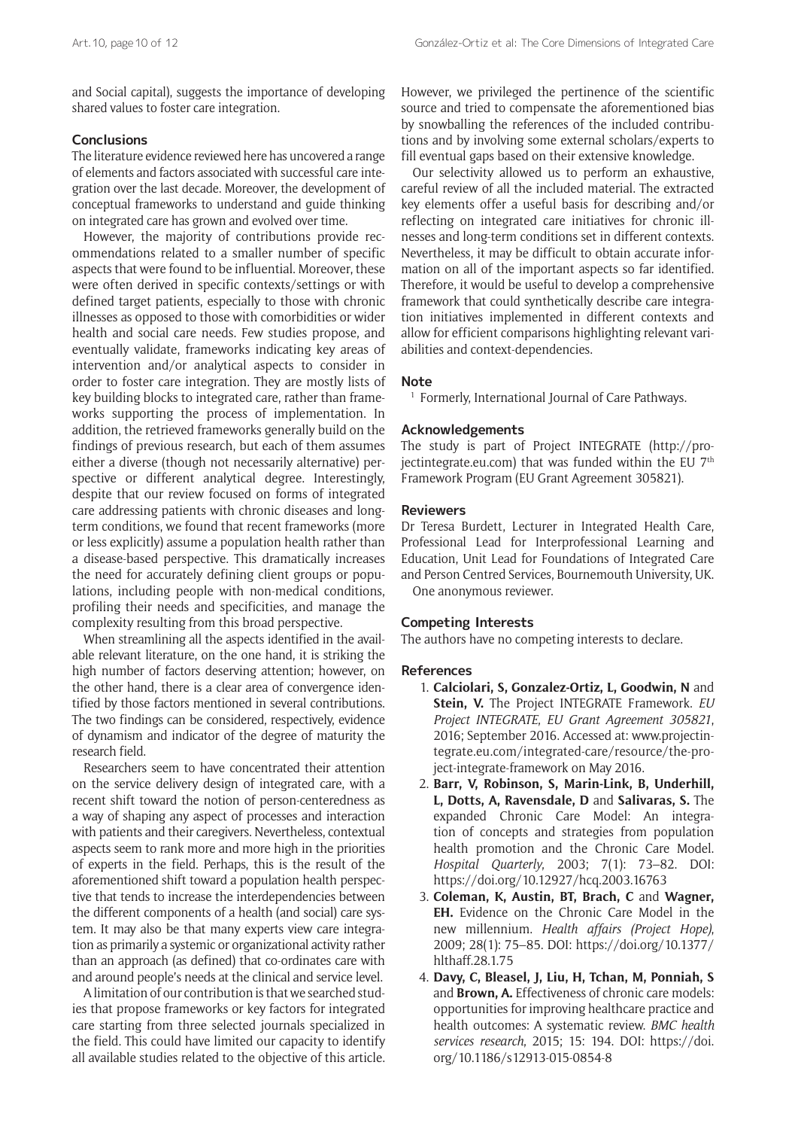and Social capital), suggests the importance of developing shared values to foster care integration.

## **Conclusions**

The literature evidence reviewed here has uncovered a range of elements and factors associated with successful care integration over the last decade. Moreover, the development of conceptual frameworks to understand and guide thinking on integrated care has grown and evolved over time.

However, the majority of contributions provide recommendations related to a smaller number of specific aspects that were found to be influential. Moreover, these were often derived in specific contexts/settings or with defined target patients, especially to those with chronic illnesses as opposed to those with comorbidities or wider health and social care needs. Few studies propose, and eventually validate, frameworks indicating key areas of intervention and/or analytical aspects to consider in order to foster care integration. They are mostly lists of key building blocks to integrated care, rather than frameworks supporting the process of implementation. In addition, the retrieved frameworks generally build on the findings of previous research, but each of them assumes either a diverse (though not necessarily alternative) perspective or different analytical degree. Interestingly, despite that our review focused on forms of integrated care addressing patients with chronic diseases and longterm conditions, we found that recent frameworks (more or less explicitly) assume a population health rather than a disease-based perspective. This dramatically increases the need for accurately defining client groups or populations, including people with non-medical conditions, profiling their needs and specificities, and manage the complexity resulting from this broad perspective.

When streamlining all the aspects identified in the available relevant literature, on the one hand, it is striking the high number of factors deserving attention; however, on the other hand, there is a clear area of convergence identified by those factors mentioned in several contributions. The two findings can be considered, respectively, evidence of dynamism and indicator of the degree of maturity the research field.

Researchers seem to have concentrated their attention on the service delivery design of integrated care, with a recent shift toward the notion of person-centeredness as a way of shaping any aspect of processes and interaction with patients and their caregivers. Nevertheless, contextual aspects seem to rank more and more high in the priorities of experts in the field. Perhaps, this is the result of the aforementioned shift toward a population health perspective that tends to increase the interdependencies between the different components of a health (and social) care system. It may also be that many experts view care integration as primarily a systemic or organizational activity rather than an approach (as defined) that co-ordinates care with and around people's needs at the clinical and service level.

A limitation of our contribution is that we searched studies that propose frameworks or key factors for integrated care starting from three selected journals specialized in the field. This could have limited our capacity to identify all available studies related to the objective of this article.

However, we privileged the pertinence of the scientific source and tried to compensate the aforementioned bias by snowballing the references of the included contributions and by involving some external scholars/experts to fill eventual gaps based on their extensive knowledge.

Our selectivity allowed us to perform an exhaustive, careful review of all the included material. The extracted key elements offer a useful basis for describing and/or reflecting on integrated care initiatives for chronic illnesses and long-term conditions set in different contexts. Nevertheless, it may be difficult to obtain accurate information on all of the important aspects so far identified. Therefore, it would be useful to develop a comprehensive framework that could synthetically describe care integration initiatives implemented in different contexts and allow for efficient comparisons highlighting relevant variabilities and context-dependencies.

## **Note**

<sup>1</sup> Formerly, International Journal of Care Pathways.

## **Acknowledgements**

The study is part of Project INTEGRATE [\(http://pro](http://projectintegrate.eu.com)[jectintegrate.eu.com\)](http://projectintegrate.eu.com) that was funded within the EU  $7<sup>th</sup>$ Framework Program (EU Grant Agreement 305821).

## **Reviewers**

Dr Teresa Burdett, Lecturer in Integrated Health Care, Professional Lead for Interprofessional Learning and Education, Unit Lead for Foundations of Integrated Care and Person Centred Services, Bournemouth University, UK. One anonymous reviewer.

## **Competing Interests**

The authors have no competing interests to declare.

## **References**

- 1. **Calciolari, S, Gonzalez-Ortiz, L, Goodwin, N** and **Stein, V.** The Project INTEGRATE Framework. *EU Project INTEGRATE*, *EU Grant Agreement 305821*, 2016; September 2016. Accessed at: [www.projectin](www.projectintegrate.eu.com/integrated-care/resource/the-project-integrate-framework)[tegrate.eu.com/integrated-care/resource/the-pro](www.projectintegrate.eu.com/integrated-care/resource/the-project-integrate-framework)[ject-integrate-framework](www.projectintegrate.eu.com/integrated-care/resource/the-project-integrate-framework) on May 2016.
- 2. **Barr, V, Robinson, S, Marin-Link, B, Underhill, L, Dotts, A, Ravensdale, D** and **Salivaras, S.** The expanded Chronic Care Model: An integration of concepts and strategies from population health promotion and the Chronic Care Model. *Hospital Quarterly*, 2003; 7(1): 73–82. DOI: <https://doi.org/10.12927/hcq.2003.16763>
- 3. **Coleman, K, Austin, BT, Brach, C** and **Wagner, EH.** Evidence on the Chronic Care Model in the new millennium. *Health affairs (Project Hope)*, 2009; 28(1): 75–85. DOI: [https://doi.org/10.1377/](https://doi.org/10.1377/hlthaff.28.1.75) [hlthaff.28.1.75](https://doi.org/10.1377/hlthaff.28.1.75)
- 4. **Davy, C, Bleasel, J, Liu, H, Tchan, M, Ponniah, S** and **Brown, A.** Effectiveness of chronic care models: opportunities for improving healthcare practice and health outcomes: A systematic review. *BMC health services research*, 2015; 15: 194. DOI: [https://doi.](https://doi.org/10.1186/s12913-015-0854-8) [org/10.1186/s12913-015-0854-8](https://doi.org/10.1186/s12913-015-0854-8)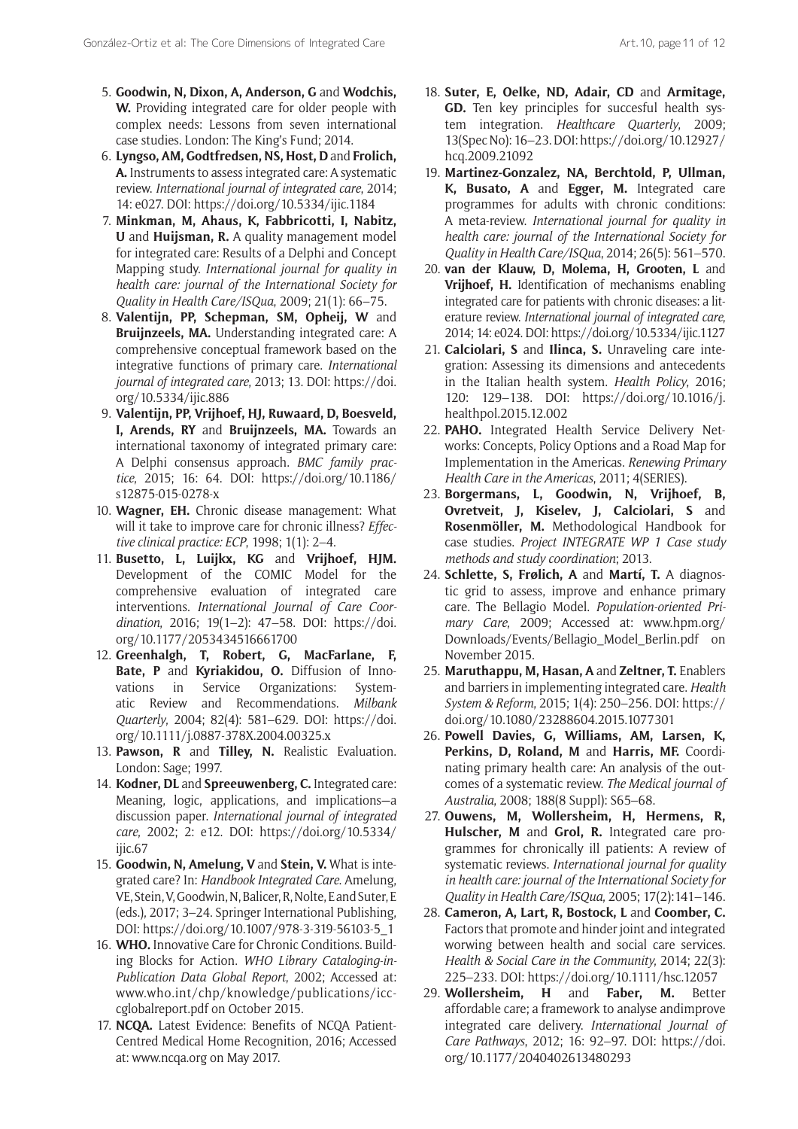- 5. **Goodwin, N, Dixon, A, Anderson, G** and **Wodchis, W.** Providing integrated care for older people with complex needs: Lessons from seven international case studies. London: The King's Fund; 2014.
- 6. **Lyngso, AM, Godtfredsen, NS, Host, D** and **Frolich, A.** Instruments to assess integrated care: A systematic review. *International journal of integrated care*, 2014; 14: e027. DOI: <https://doi.org/10.5334/ijic.1184>
- 7. **Minkman, M, Ahaus, K, Fabbricotti, I, Nabitz, U** and **Huijsman, R.** A quality management model for integrated care: Results of a Delphi and Concept Mapping study. *International journal for quality in health care: journal of the International Society for Quality in Health Care/ISQua*, 2009; 21(1): 66–75.
- 8. **Valentijn, PP, Schepman, SM, Opheij, W** and **Bruijnzeels, MA.** Understanding integrated care: A comprehensive conceptual framework based on the integrative functions of primary care. *International journal of integrated care*, 2013; 13. DOI: [https://doi.](https://doi.org/10.5334/ijic.886) [org/10.5334/ijic.886](https://doi.org/10.5334/ijic.886)
- 9. **Valentijn, PP, Vrijhoef, HJ, Ruwaard, D, Boesveld, I, Arends, RY** and **Bruijnzeels, MA.** Towards an international taxonomy of integrated primary care: A Delphi consensus approach. *BMC family practice*, 2015; 16: 64. DOI: [https://doi.org/10.1186/](https://doi.org/10.1186/s12875-015-0278-x) [s12875-015-0278-x](https://doi.org/10.1186/s12875-015-0278-x)
- 10. **Wagner, EH.** Chronic disease management: What will it take to improve care for chronic illness? *Effective clinical practice: ECP*, 1998; 1(1): 2–4.
- 11. **Busetto, L, Luijkx, KG** and **Vrijhoef, HJM.** Development of the COMIC Model for the comprehensive evaluation of integrated care interventions. *International Journal of Care Coordination*, 2016; 19(1–2): 47–58. DOI: [https://doi.](https://doi.org/10.1177/2053434516661700) [org/10.1177/2053434516661700](https://doi.org/10.1177/2053434516661700)
- 12. **Greenhalgh, T, Robert, G, MacFarlane, F, Bate, P** and **Kyriakidou, O.** Diffusion of Innovations in Service Organizations: Systematic Review and Recommendations. *Milbank Quarterly*, 2004; 82(4): 581–629. DOI: [https://doi.](https://doi.org/10.1111/j.0887-378X.2004.00325.x) [org/10.1111/j.0887-378X.2004.00325.x](https://doi.org/10.1111/j.0887-378X.2004.00325.x)
- 13. **Pawson, R** and **Tilley, N.** Realistic Evaluation. London: Sage; 1997.
- 14. **Kodner, DL** and **Spreeuwenberg, C.** Integrated care: Meaning, logic, applications, and implications—a discussion paper. *International journal of integrated care*, 2002; 2: e12. DOI: [https://doi.org/10.5334/](https://doi.org/10.5334/ijic.67) [ijic.67](https://doi.org/10.5334/ijic.67)
- 15. **Goodwin, N, Amelung, V** and **Stein, V.** What is integrated care? In: *Handbook Integrated Care*. Amelung, VE, Stein, V, Goodwin, N, Balicer, R, Nolte, E and Suter, E (eds.), 2017; 3–24. Springer International Publishing, DOI: [https://doi.org/10.1007/978-3-319-56103-5\\_1](https://doi.org/10.1007/978-3-319-56103-5_1)
- 16. **WHO.** Innovative Care for Chronic Conditions. Building Blocks for Action. *WHO Library Cataloging-in-Publication Data Global Report*, 2002; Accessed at: [www.who.int/chp/knowledge/publications/icc](www.who.int/chp/knowledge/publications/icccglobalreport.pdf)[cglobalreport.pdf](www.who.int/chp/knowledge/publications/icccglobalreport.pdf) on October 2015.
- 17. **NCQA.** Latest Evidence: Benefits of NCQA Patient-Centred Medical Home Recognition, 2016; Accessed at: <www.ncqa.org> on May 2017.
- 18. **Suter, E, Oelke, ND, Adair, CD** and **Armitage, GD.** Ten key principles for succesful health system integration. *Healthcare Quarterly*, 2009; 13(Spec No): 16–23. DOI: [https://doi.org/10.12927/](https://doi.org/10.12927/hcq.2009.21092) [hcq.2009.21092](https://doi.org/10.12927/hcq.2009.21092)
- 19. **Martinez-Gonzalez, NA, Berchtold, P, Ullman, K, Busato, A** and **Egger, M.** Integrated care programmes for adults with chronic conditions: A meta-review. *International journal for quality in health care: journal of the International Society for Quality in Health Care/ISQua*, 2014; 26(5): 561–570.
- 20. **van der Klauw, D, Molema, H, Grooten, L** and **Vrijhoef, H.** Identification of mechanisms enabling integrated care for patients with chronic diseases: a literature review. *International journal of integrated care*, 2014; 14: e024. DOI:<https://doi.org/10.5334/ijic.1127>
- 21. **Calciolari, S** and **Ilinca, S.** Unraveling care integration: Assessing its dimensions and antecedents in the Italian health system. *Health Policy*, 2016; 120: 129–138. DOI: [https://doi.org/10.1016/j.](https://doi.org/10.1016/j.healthpol.2015.12.002) [healthpol.2015.12.002](https://doi.org/10.1016/j.healthpol.2015.12.002)
- 22. **PAHO.** Integrated Health Service Delivery Networks: Concepts, Policy Options and a Road Map for Implementation in the Americas. *Renewing Primary Health Care in the Americas*, 2011; 4(SERIES).
- 23. **Borgermans, L, Goodwin, N, Vrijhoef, B, Ovretveit, J, Kiselev, J, Calciolari, S** and **Rosenmöller, M.** Methodological Handbook for case studies. *Project INTEGRATE WP 1 Case study methods and study coordination*; 2013.
- 24. **Schlette, S, Frølich, A** and **Martí, T.** A diagnostic grid to assess, improve and enhance primary care. The Bellagio Model. *Population-oriented Primary Care*, 2009; Accessed at: [www.hpm.org/](www.hpm.org/Downloads/Events/Bellagio_Model_Berlin.pdf) [Downloads/Events/Bellagio\\_Model\\_Berlin.pdf](www.hpm.org/Downloads/Events/Bellagio_Model_Berlin.pdf) on November 2015.
- 25. **Maruthappu, M, Hasan, A** and **Zeltner, T.** Enablers and barriers in implementing integrated care. *Health System & Reform*, 2015; 1(4): 250–256. DOI: [https://](https://doi.org/10.1080/23288604.2015.1077301) [doi.org/10.1080/23288604.2015.1077301](https://doi.org/10.1080/23288604.2015.1077301)
- 26. **Powell Davies, G, Williams, AM, Larsen, K, Perkins, D, Roland, M** and **Harris, MF.** Coordinating primary health care: An analysis of the outcomes of a systematic review. *The Medical journal of Australia*, 2008; 188(8 Suppl): S65–68.
- 27. **Ouwens, M, Wollersheim, H, Hermens, R, Hulscher, M** and **Grol, R.** Integrated care programmes for chronically ill patients: A review of systematic reviews. *International journal for quality in health care: journal of the International Society for Quality in Health Care/ISQua*, 2005; 17(2):141–146.
- 28. **Cameron, A, Lart, R, Bostock, L** and **Coomber, C.**  Factors that promote and hinder joint and integrated worwing between health and social care services. *Health & Social Care in the Community*, 2014; 22(3): 225–233. DOI: <https://doi.org/10.1111/hsc.12057>
- 29. **Wollersheim, H** and **Faber, M.** Better affordable care; a framework to analyse andimprove integrated care delivery. *International Journal of Care Pathways*, 2012; 16: 92–97. DOI: [https://doi.](https://doi.org/10.1177/2040402613480293) [org/10.1177/2040402613480293](https://doi.org/10.1177/2040402613480293)